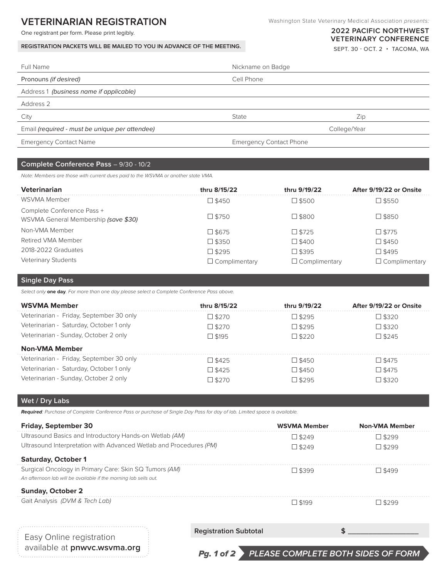# **VETERINARIAN REGISTRATION**

One registrant per form. Please print legibly.

**REGISTRATION PACKETS WILL BE MAILED TO YOU IN ADVANCE OF THE MEETING.**

# **2022 PACIFIC NORTHWEST VETERINARY CONFERENCE**

SEPT. 30 - OCT. 2 • TACOMA, WA

| Full Name                                      | Nickname on Badge              |              |
|------------------------------------------------|--------------------------------|--------------|
| Pronouns (if desired)                          | Cell Phone                     |              |
| Address 1 (business name if applicable)        |                                |              |
| Address 2                                      |                                |              |
| City                                           | State                          | Zip          |
| Email (required - must be unique per attendee) |                                | College/Year |
| <b>Emergency Contact Name</b>                  | <b>Emergency Contact Phone</b> |              |

### **Complete Conference Pass** – 9/30 - 10/2

*Note: Members are those with current dues paid to the WSVMA or another state VMA.*

| Veterinarian                                                       | thru 8/15/22         | thru 9/19/22         | After 9/19/22 or Onsite |
|--------------------------------------------------------------------|----------------------|----------------------|-------------------------|
| WSVMA Member                                                       | $\square$ \$450      | $\square$ \$500      | $\square$ \$550         |
| Complete Conference Pass +<br>WSVMA General Membership (save \$30) | $\square$ \$750      | $\square$ \$800      | $\square$ \$850         |
| Non-VMA Member                                                     | $\square$ \$675      | $\Box$ \$725         | $\square$ \$775         |
| Retired VMA Member                                                 | $\square$ \$350      | $\square$ \$400      | $\square$ \$450         |
| 2018-2022 Graduates                                                | $\Box$ \$295         | $\square$ \$395      | $\square$ \$495         |
| <b>Veterinary Students</b>                                         | $\Box$ Complimentary | $\Box$ Complimentary | $\Box$ Complimentary    |

### **Single Day Pass**

*Select only* **one day***. For more than one day please select a Complete Conference Pass above.*

| WSVMA Member                             | thru 8/15/22    | thru 9/19/22    | After 9/19/22 or Onsite |
|------------------------------------------|-----------------|-----------------|-------------------------|
| Veterinarian - Friday, September 30 only | $\Box$ \$270    | $\Box$ \$295    | $\Box$ \$320            |
| Veterinarian - Saturday, October 1 only  | $\square$ \$270 | $\square$ \$295 | $\square$ \$320         |
| Veterinarian - Sunday, October 2 only    | $\Box$ \$195    | $\Box$ \$220    | $\Box$ \$245            |
| <b>Non-VMA Member</b>                    |                 |                 |                         |
| Veterinarian - Friday, September 30 only | $\Box$ \$425    | $\square$ \$450 | $\Box$ \$475            |
| Veterinarian - Saturday, October 1 only  | $\Box$ \$425    | $\square$ \$450 | $\Box$ \$475            |
| Veterinarian - Sunday, October 2 only    | $\Box$ \$270    | $\square$ \$295 | $\Box$ \$320            |

#### **Wet / Dry Labs**

**Required***: Purchase of Complete Conference Pass or purchase of Single Day Pass for day of lab. Limited space is available.*

| <b>Friday, September 30</b>                                        |                              | <b>WSVMA Member</b> | <b>Non-VMA Member</b> |
|--------------------------------------------------------------------|------------------------------|---------------------|-----------------------|
| Ultrasound Basics and Introductory Hands-on Wetlab (AM)            |                              | $\Box$ \$249        | $\Box$ \$299          |
| Ultrasound Interpretation with Advanced Wetlab and Procedures (PM) |                              | $\square$ \$249     | $\square$ \$299       |
| <b>Saturday, October 1</b>                                         |                              |                     |                       |
| Surgical Oncology in Primary Care: Skin SQ Tumors (AM)             |                              | $\Box$ \$399        | $\Box$ \$499          |
| An afternoon lab will be available if the morning lab sells out.   |                              |                     |                       |
| <b>Sunday, October 2</b>                                           |                              |                     |                       |
| Gait Analysis (DVM & Tech Lab)                                     |                              | $\Box$ \$199        | $\Box$ \$299          |
|                                                                    |                              |                     |                       |
|                                                                    | <b>Registration Subtotal</b> |                     |                       |
| Easy Online registration<br>available at <b>nnwyc wsyma org</b>    |                              |                     |                       |

available at **pnwvc.wsvma.org** 

Pg. 1 of 2 **PLEASE COMPLETE BOTH SIDES OF FORM**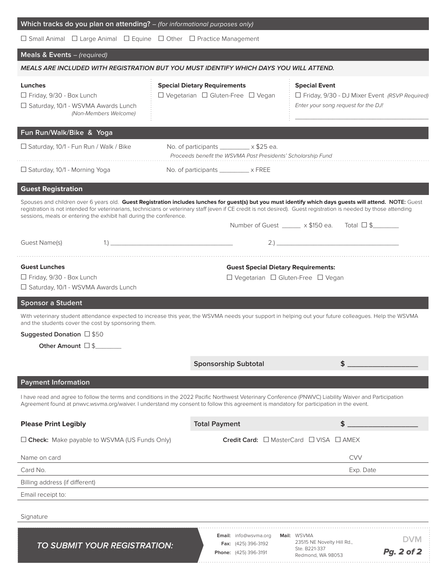| Which tracks do you plan on attending? - (for informational purposes only)                                                               |                                                                                                                  |                                                                                                                                                                                                                                                                                                                                 |
|------------------------------------------------------------------------------------------------------------------------------------------|------------------------------------------------------------------------------------------------------------------|---------------------------------------------------------------------------------------------------------------------------------------------------------------------------------------------------------------------------------------------------------------------------------------------------------------------------------|
| $\Box$ Small Animal $\Box$ Large Animal $\Box$ Equine $\Box$ Other $\Box$ Practice Management                                            |                                                                                                                  |                                                                                                                                                                                                                                                                                                                                 |
| Meals & Events - (required)                                                                                                              |                                                                                                                  |                                                                                                                                                                                                                                                                                                                                 |
| MEALS ARE INCLUDED WITH REGISTRATION BUT YOU MUST IDENTIFY WHICH DAYS YOU WILL ATTEND.                                                   |                                                                                                                  |                                                                                                                                                                                                                                                                                                                                 |
| Lunches<br>□ Friday, 9/30 - Box Lunch<br>□ Saturday, 10/1 - WSVMA Awards Lunch<br>(Non-Members Welcome)                                  | <b>Special Dietary Requirements</b><br>$\Box$ Vegetarian $\Box$ Gluten-Free $\Box$ Vegan                         | <b>Special Event</b><br>□ Friday, 9/30 - DJ Mixer Event (RSVP Required)<br>Enter your song request for the DJ!                                                                                                                                                                                                                  |
| Fun Run/Walk/Bike & Yoga                                                                                                                 |                                                                                                                  |                                                                                                                                                                                                                                                                                                                                 |
| □ Saturday, 10/1 - Fun Run / Walk / Bike                                                                                                 | No. of participants $\_\_\_\_\_\_\_\$ x \$25 ea.<br>Proceeds benefit the WSVMA Past Presidents' Scholarship Fund |                                                                                                                                                                                                                                                                                                                                 |
| □ Saturday, 10/1 - Morning Yoga                                                                                                          | No. of participants __________ x FREE                                                                            |                                                                                                                                                                                                                                                                                                                                 |
| <b>Guest Registration</b>                                                                                                                |                                                                                                                  |                                                                                                                                                                                                                                                                                                                                 |
| sessions, meals or entering the exhibit hall during the conference.                                                                      |                                                                                                                  | Spouses and children over 6 years old. Guest Registration includes lunches for guest(s) but you must identify which days guests will attend. NOTE: Guest<br>registration is not intended for veterinarians, technicians or veterinary staff (even if CE credit is not desired). Guest registration is needed by those attending |
|                                                                                                                                          |                                                                                                                  | Number of Guest _____ x \$150 ea. Total □ \$______                                                                                                                                                                                                                                                                              |
| Guest Name(s)                                                                                                                            | $\ket{1}$                                                                                                        | 2.1                                                                                                                                                                                                                                                                                                                             |
|                                                                                                                                          |                                                                                                                  |                                                                                                                                                                                                                                                                                                                                 |
| <b>Guest Lunches</b>                                                                                                                     |                                                                                                                  | <b>Guest Special Dietary Requirements:</b>                                                                                                                                                                                                                                                                                      |
| $\Box$ Friday, 9/30 - Box Lunch                                                                                                          |                                                                                                                  | $\Box$ Vegetarian $\Box$ Gluten-Free $\Box$ Vegan                                                                                                                                                                                                                                                                               |
| □ Saturday, 10/1 - WSVMA Awards Lunch                                                                                                    |                                                                                                                  |                                                                                                                                                                                                                                                                                                                                 |
| <b>Sponsor a Student</b>                                                                                                                 |                                                                                                                  |                                                                                                                                                                                                                                                                                                                                 |
| and the students cover the cost by sponsoring them.                                                                                      |                                                                                                                  | With veterinary student attendance expected to increase this year, the WSVMA needs your support in helping out your future colleagues. Help the WSVMA                                                                                                                                                                           |
| Suggested Donation $\square$ \$50                                                                                                        |                                                                                                                  |                                                                                                                                                                                                                                                                                                                                 |
| Other Amount $\square$ \$                                                                                                                |                                                                                                                  |                                                                                                                                                                                                                                                                                                                                 |
|                                                                                                                                          | <b>Sponsorship Subtotal</b>                                                                                      | $$^{\circ}$                                                                                                                                                                                                                                                                                                                     |
| <b>Payment Information</b>                                                                                                               |                                                                                                                  |                                                                                                                                                                                                                                                                                                                                 |
| Agreement found at pnwvc.wsvma.org/waiver. I understand my consent to follow this agreement is mandatory for participation in the event. |                                                                                                                  | I have read and agree to follow the terms and conditions in the 2022 Pacific Northwest Veterinary Conference (PNWVC) Liability Waiver and Participation                                                                                                                                                                         |
| <b>Please Print Legibly</b>                                                                                                              | <b>Total Payment</b>                                                                                             | \$                                                                                                                                                                                                                                                                                                                              |
| □ Check: Make payable to WSVMA (US Funds Only)                                                                                           |                                                                                                                  | Credit Card: □ MasterCard □ VISA □ AMEX                                                                                                                                                                                                                                                                                         |
| Name on card                                                                                                                             |                                                                                                                  | <b>CVV</b>                                                                                                                                                                                                                                                                                                                      |
| Card No.                                                                                                                                 |                                                                                                                  | Exp. Date                                                                                                                                                                                                                                                                                                                       |
| Billing address (if different)                                                                                                           |                                                                                                                  |                                                                                                                                                                                                                                                                                                                                 |
| Email receipt to:                                                                                                                        |                                                                                                                  |                                                                                                                                                                                                                                                                                                                                 |
| Signature                                                                                                                                |                                                                                                                  |                                                                                                                                                                                                                                                                                                                                 |
| <b>TO SUBMIT YOUR REGISTRATION:</b>                                                                                                      | <b>Email:</b> info@wsvma.org<br><b>Fax:</b> (425) 396-3192<br>Phone: (425) 396-3191                              | Mail: WSVMA<br><b>DVM</b><br>23515 NE Novelty Hill Rd.,<br>Ste. B221-337<br>Pg. 2 of 2<br>Redmond, WA 98053                                                                                                                                                                                                                     |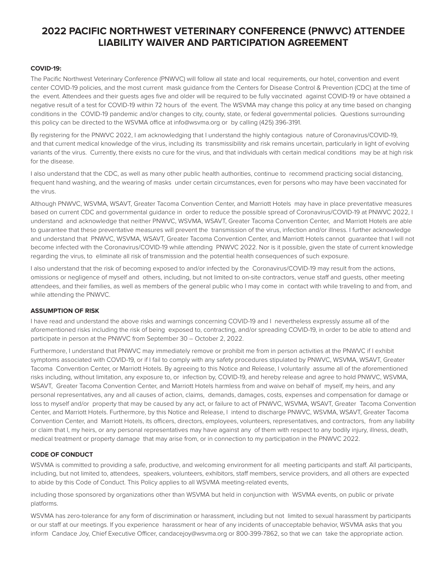# **2022 PACIFIC NORTHWEST VETERINARY CONFERENCE (PNWVC) ATTENDEE LIABILITY WAIVER AND PARTICIPATION AGREEMENT**

### **COVID-19:**

The Pacific Northwest Veterinary Conference (PNWVC) will follow all state and local requirements, our hotel, convention and event center COVID-19 policies, and the most current mask guidance from the Centers for Disease Control & Prevention (CDC) at the time of the event. Attendees and their guests ages five and older will be required to be fully vaccinated against COVID-19 or have obtained a negative result of a test for COVID-19 within 72 hours of the event. The WSVMA may change this policy at any time based on changing conditions in the COVID-19 pandemic and/or changes to city, county, state, or federal governmental policies. Questions surrounding this policy can be directed to the WSVMA office at info@wsvma.org or by calling (425) 396-3191.

By registering for the PNWVC 2022, I am acknowledging that I understand the highly contagious nature of Coronavirus/COVID-19, and that current medical knowledge of the virus, including its transmissibility and risk remains uncertain, particularly in light of evolving variants of the virus. Currently, there exists no cure for the virus, and that individuals with certain medical conditions may be at high risk for the disease.

I also understand that the CDC, as well as many other public health authorities, continue to recommend practicing social distancing, frequent hand washing, and the wearing of masks under certain circumstances, even for persons who may have been vaccinated for the virus.

Although PNWVC, WSVMA, WSAVT, Greater Tacoma Convention Center, and Marriott Hotels may have in place preventative measures based on current CDC and governmental guidance in order to reduce the possible spread of Coronavirus/COVID-19 at PNWVC 2022, I understand and acknowledge that neither PNWVC, WSVMA, WSAVT, Greater Tacoma Convention Center, and Marriott Hotels are able to guarantee that these preventative measures will prevent the transmission of the virus, infection and/or illness. I further acknowledge and understand that PNWVC, WSVMA, WSAVT, Greater Tacoma Convention Center, and Marriott Hotels cannot guarantee that I will not become infected with the Coronavirus/COVID-19 while attending PNWVC 2022. Nor is it possible, given the state of current knowledge regarding the virus, to eliminate all risk of transmission and the potential health consequences of such exposure.

I also understand that the risk of becoming exposed to and/or infected by the Coronavirus/COVID-19 may result from the actions, omissions or negligence of myself and others, including, but not limited to on-site contractors, venue staff and guests, other meeting attendees, and their families, as well as members of the general public who I may come in contact with while traveling to and from, and while attending the PNWVC.

#### **ASSUMPTION OF RISK**

I have read and understand the above risks and warnings concerning COVID-19 and I nevertheless expressly assume all of the aforementioned risks including the risk of being exposed to, contracting, and/or spreading COVID-19, in order to be able to attend and participate in person at the PNWVC from September 30 – October 2, 2022.

Furthermore, I understand that PNWVC may immediately remove or prohibit me from in person activities at the PNWVC if I exhibit symptoms associated with COVID-19, or if I fail to comply with any safety procedures stipulated by PNWVC, WSVMA, WSAVT, Greater Tacoma Convention Center, or Marriott Hotels. By agreeing to this Notice and Release, I voluntarily assume all of the aforementioned risks including, without limitation, any exposure to, or infection by, COVID-19, and hereby release and agree to hold PNWVC, WSVMA, WSAVT, Greater Tacoma Convention Center, and Marriott Hotels harmless from and waive on behalf of myself, my heirs, and any personal representatives, any and all causes of action, claims, demands, damages, costs, expenses and compensation for damage or loss to myself and/or property that may be caused by any act, or failure to act of PNWVC, WSVMA, WSAVT, Greater Tacoma Convention Center, and Marriott Hotels. Furthermore, by this Notice and Release, I intend to discharge PNWVC, WSVMA, WSAVT, Greater Tacoma Convention Center, and Marriott Hotels, its officers, directors, employees, volunteers, representatives, and contractors, from any liability or claim that I, my heirs, or any personal representatives may have against any of them with respect to any bodily injury, illness, death, medical treatment or property damage that may arise from, or in connection to my participation in the PNWVC 2022.

# **CODE OF CONDUCT**

WSVMA is committed to providing a safe, productive, and welcoming environment for all meeting participants and staff. All participants, including, but not limited to, attendees, speakers, volunteers, exhibitors, staff members, service providers, and all others are expected to abide by this Code of Conduct. This Policy applies to all WSVMA meeting-related events,

including those sponsored by organizations other than WSVMA but held in conjunction with WSVMA events, on public or private platforms.

WSVMA has zero-tolerance for any form of discrimination or harassment, including but not limited to sexual harassment by participants or our staff at our meetings. If you experience harassment or hear of any incidents of unacceptable behavior, WSVMA asks that you inform Candace Joy, Chief Executive Officer, candacejoy@wsvma.org or 800-399-7862, so that we can take the appropriate action.